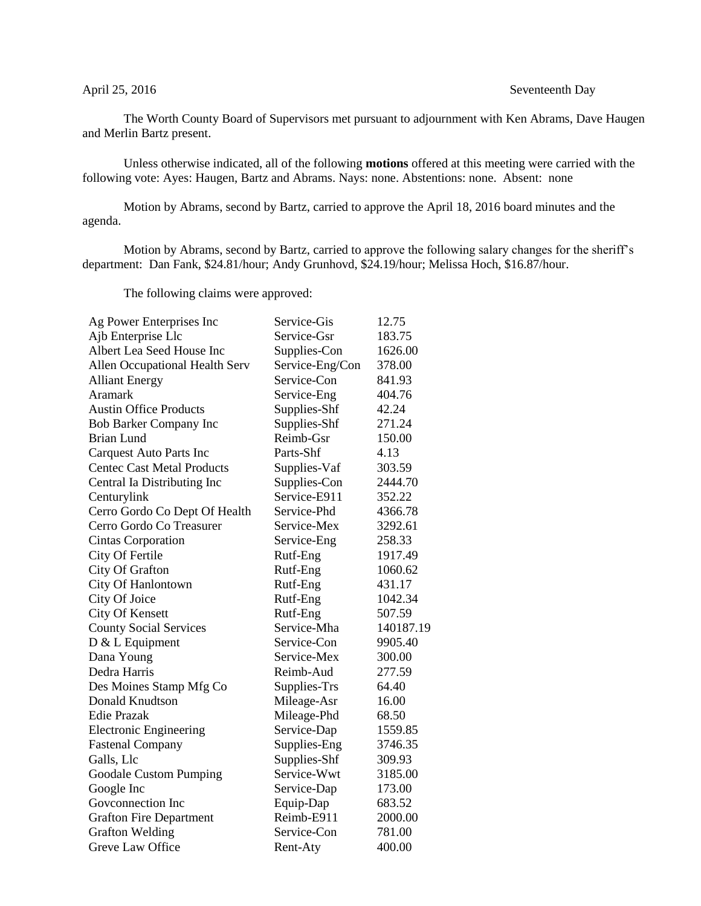## April 25, 2016 Seventeenth Day

The Worth County Board of Supervisors met pursuant to adjournment with Ken Abrams, Dave Haugen and Merlin Bartz present.

Unless otherwise indicated, all of the following **motions** offered at this meeting were carried with the following vote: Ayes: Haugen, Bartz and Abrams. Nays: none. Abstentions: none. Absent: none

Motion by Abrams, second by Bartz, carried to approve the April 18, 2016 board minutes and the agenda.

Motion by Abrams, second by Bartz, carried to approve the following salary changes for the sheriff's department: Dan Fank, \$24.81/hour; Andy Grunhovd, \$24.19/hour; Melissa Hoch, \$16.87/hour.

The following claims were approved:

| Ag Power Enterprises Inc          | Service-Gis     | 12.75     |
|-----------------------------------|-----------------|-----------|
| Ajb Enterprise Llc                | Service-Gsr     | 183.75    |
| Albert Lea Seed House Inc         | Supplies-Con    | 1626.00   |
| Allen Occupational Health Serv    | Service-Eng/Con | 378.00    |
| <b>Alliant Energy</b>             | Service-Con     | 841.93    |
| Aramark                           | Service-Eng     | 404.76    |
| <b>Austin Office Products</b>     | Supplies-Shf    | 42.24     |
| <b>Bob Barker Company Inc</b>     | Supplies-Shf    | 271.24    |
| Brian Lund                        | Reimb-Gsr       | 150.00    |
| <b>Carquest Auto Parts Inc</b>    | Parts-Shf       | 4.13      |
| <b>Centec Cast Metal Products</b> | Supplies-Vaf    | 303.59    |
| Central Ia Distributing Inc       | Supplies-Con    | 2444.70   |
| Centurylink                       | Service-E911    | 352.22    |
| Cerro Gordo Co Dept Of Health     | Service-Phd     | 4366.78   |
| Cerro Gordo Co Treasurer          | Service-Mex     | 3292.61   |
| Cintas Corporation                | Service-Eng     | 258.33    |
| City Of Fertile                   | Rutf-Eng        | 1917.49   |
| City Of Grafton                   | Rutf-Eng        | 1060.62   |
| City Of Hanlontown                | Rutf-Eng        | 431.17    |
| City Of Joice                     | Rutf-Eng        | 1042.34   |
| City Of Kensett                   | Rutf-Eng        | 507.59    |
| <b>County Social Services</b>     | Service-Mha     | 140187.19 |
| D & L Equipment                   | Service-Con     | 9905.40   |
| Dana Young                        | Service-Mex     | 300.00    |
| Dedra Harris                      | Reimb-Aud       | 277.59    |
| Des Moines Stamp Mfg Co           | Supplies-Trs    | 64.40     |
| Donald Knudtson                   | Mileage-Asr     | 16.00     |
| <b>Edie Prazak</b>                | Mileage-Phd     | 68.50     |
| <b>Electronic Engineering</b>     | Service-Dap     | 1559.85   |
| <b>Fastenal Company</b>           | Supplies-Eng    | 3746.35   |
| Galls, Llc                        | Supplies-Shf    | 309.93    |
| <b>Goodale Custom Pumping</b>     | Service-Wwt     | 3185.00   |
| Google Inc                        | Service-Dap     | 173.00    |
| Govconnection Inc                 | Equip-Dap       | 683.52    |
| <b>Grafton Fire Department</b>    | Reimb-E911      | 2000.00   |
| <b>Grafton Welding</b>            | Service-Con     | 781.00    |
| Greve Law Office                  | Rent-Aty        | 400.00    |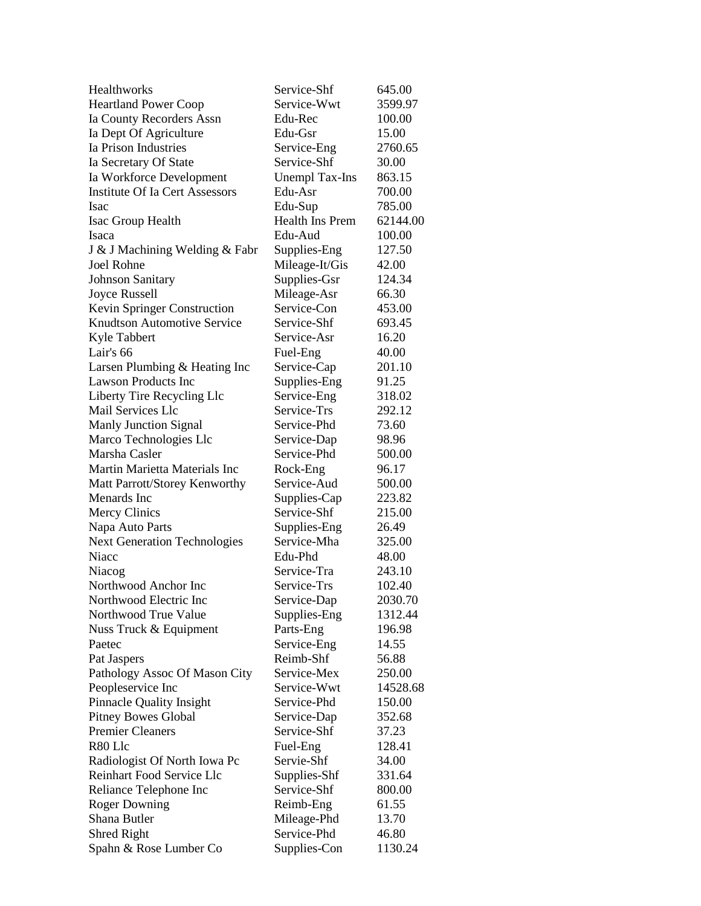| Healthworks                                    | Service-Shf            | 645.00   |
|------------------------------------------------|------------------------|----------|
| <b>Heartland Power Coop</b>                    | Service-Wwt            | 3599.97  |
| Ia County Recorders Assn                       | Edu-Rec                | 100.00   |
|                                                | Edu-Gsr                | 15.00    |
| Ia Dept Of Agriculture<br>Ia Prison Industries | Service-Eng            |          |
|                                                |                        | 2760.65  |
| Ia Secretary Of State                          | Service-Shf            | 30.00    |
| Ia Workforce Development                       | <b>Unempl Tax-Ins</b>  | 863.15   |
| <b>Institute Of Ia Cert Assessors</b>          | Edu-Asr                | 700.00   |
| <b>Isac</b>                                    | Edu-Sup                | 785.00   |
| <b>Isac Group Health</b>                       | <b>Health Ins Prem</b> | 62144.00 |
| Isaca                                          | Edu-Aud                | 100.00   |
| J & J Machining Welding & Fabr                 | Supplies-Eng           | 127.50   |
| <b>Joel Rohne</b>                              | Mileage-It/Gis         | 42.00    |
| <b>Johnson Sanitary</b>                        | Supplies-Gsr           | 124.34   |
| <b>Joyce Russell</b>                           | Mileage-Asr            | 66.30    |
| Kevin Springer Construction                    | Service-Con            | 453.00   |
| <b>Knudtson Automotive Service</b>             | Service-Shf            | 693.45   |
| Kyle Tabbert                                   | Service-Asr            | 16.20    |
| Lair's 66                                      | Fuel-Eng               | 40.00    |
| Larsen Plumbing & Heating Inc                  | Service-Cap            | 201.10   |
| <b>Lawson Products Inc.</b>                    | Supplies-Eng           | 91.25    |
| Liberty Tire Recycling Llc                     | Service-Eng            | 318.02   |
| Mail Services Llc                              | Service-Trs            | 292.12   |
| <b>Manly Junction Signal</b>                   | Service-Phd            | 73.60    |
| Marco Technologies Llc                         | Service-Dap            | 98.96    |
| Marsha Casler                                  | Service-Phd            | 500.00   |
| Martin Marietta Materials Inc                  | Rock-Eng               | 96.17    |
| Matt Parrott/Storey Kenworthy                  | Service-Aud            | 500.00   |
| Menards Inc                                    | Supplies-Cap           | 223.82   |
| Mercy Clinics                                  | Service-Shf            | 215.00   |
| Napa Auto Parts                                | Supplies-Eng           | 26.49    |
| <b>Next Generation Technologies</b>            | Service-Mha            | 325.00   |
| Niacc                                          | Edu-Phd                | 48.00    |
| Niacog                                         | Service-Tra            | 243.10   |
| Northwood Anchor Inc                           | Service-Trs            | 102.40   |
| Northwood Electric Inc                         | Service-Dap            | 2030.70  |
| Northwood True Value                           | Supplies-Eng           | 1312.44  |
| Nuss Truck & Equipment                         | Parts-Eng              | 196.98   |
| Paetec                                         | Service-Eng            | 14.55    |
| Pat Jaspers                                    | Reimb-Shf              | 56.88    |
| Pathology Assoc Of Mason City                  | Service-Mex            | 250.00   |
| Peopleservice Inc                              | Service-Wwt            | 14528.68 |
| <b>Pinnacle Quality Insight</b>                | Service-Phd            | 150.00   |
| <b>Pitney Bowes Global</b>                     | Service-Dap            | 352.68   |
| <b>Premier Cleaners</b>                        | Service-Shf            | 37.23    |
| R80 Llc                                        | Fuel-Eng               | 128.41   |
| Radiologist Of North Iowa Pc                   | Servie-Shf             | 34.00    |
| <b>Reinhart Food Service Llc</b>               | Supplies-Shf           | 331.64   |
| Reliance Telephone Inc                         | Service-Shf            | 800.00   |
| <b>Roger Downing</b>                           | Reimb-Eng              | 61.55    |
| Shana Butler                                   | Mileage-Phd            | 13.70    |
| Shred Right                                    | Service-Phd            | 46.80    |
| Spahn & Rose Lumber Co                         | Supplies-Con           | 1130.24  |
|                                                |                        |          |